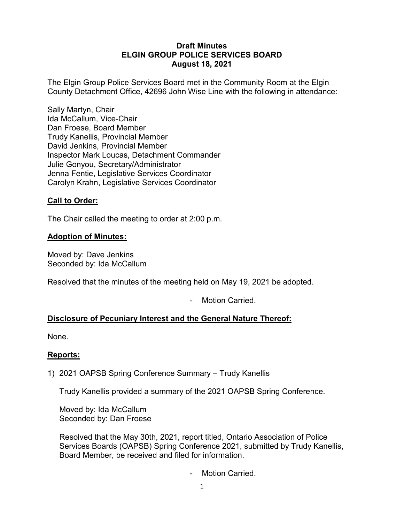### **Draft Minutes ELGIN GROUP POLICE SERVICES BOARD August 18, 2021**

The Elgin Group Police Services Board met in the Community Room at the Elgin County Detachment Office, 42696 John Wise Line with the following in attendance:

Sally Martyn, Chair Ida McCallum, Vice-Chair Dan Froese, Board Member Trudy Kanellis, Provincial Member David Jenkins, Provincial Member Inspector Mark Loucas, Detachment Commander Julie Gonyou, Secretary/Administrator Jenna Fentie, Legislative Services Coordinator Carolyn Krahn, Legislative Services Coordinator

## **Call to Order:**

The Chair called the meeting to order at 2:00 p.m.

### **Adoption of Minutes:**

Moved by: Dave Jenkins Seconded by: Ida McCallum

Resolved that the minutes of the meeting held on May 19, 2021 be adopted.

- Motion Carried.

# **Disclosure of Pecuniary Interest and the General Nature Thereof:**

None.

### **Reports:**

## 1) 2021 OAPSB Spring Conference Summary – Trudy Kanellis

Trudy Kanellis provided a summary of the 2021 OAPSB Spring Conference.

Moved by: Ida McCallum Seconded by: Dan Froese

Resolved that the May 30th, 2021, report titled, Ontario Association of Police Services Boards (OAPSB) Spring Conference 2021, submitted by Trudy Kanellis, Board Member, be received and filed for information.

Motion Carried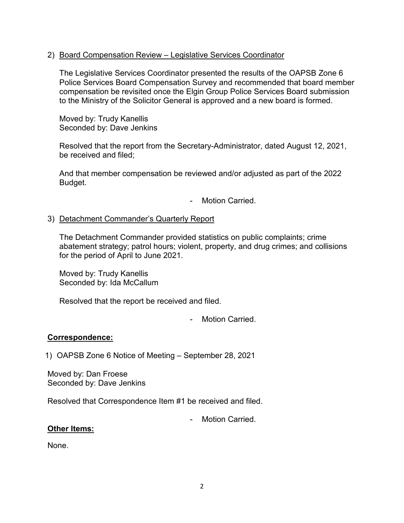#### 2) Board Compensation Review – Legislative Services Coordinator

The Legislative Services Coordinator presented the results of the OAPSB Zone 6 Police Services Board Compensation Survey and recommended that board member compensation be revisited once the Elgin Group Police Services Board submission to the Ministry of the Solicitor General is approved and a new board is formed.

Moved by: Trudy Kanellis Seconded by: Dave Jenkins

Resolved that the report from the Secretary-Administrator, dated August 12, 2021, be received and filed;

And that member compensation be reviewed and/or adjusted as part of the 2022 Budget.

Motion Carried.

### 3) Detachment Commander's Quarterly Report

The Detachment Commander provided statistics on public complaints; crime abatement strategy; patrol hours; violent, property, and drug crimes; and collisions for the period of April to June 2021.

Moved by: Trudy Kanellis Seconded by: Ida McCallum

Resolved that the report be received and filed.

Motion Carried.

## **Correspondence:**

1) OAPSB Zone 6 Notice of Meeting – September 28, 2021

Moved by: Dan Froese Seconded by: Dave Jenkins

Resolved that Correspondence Item #1 be received and filed.

Motion Carried

### **Other Items:**

None.